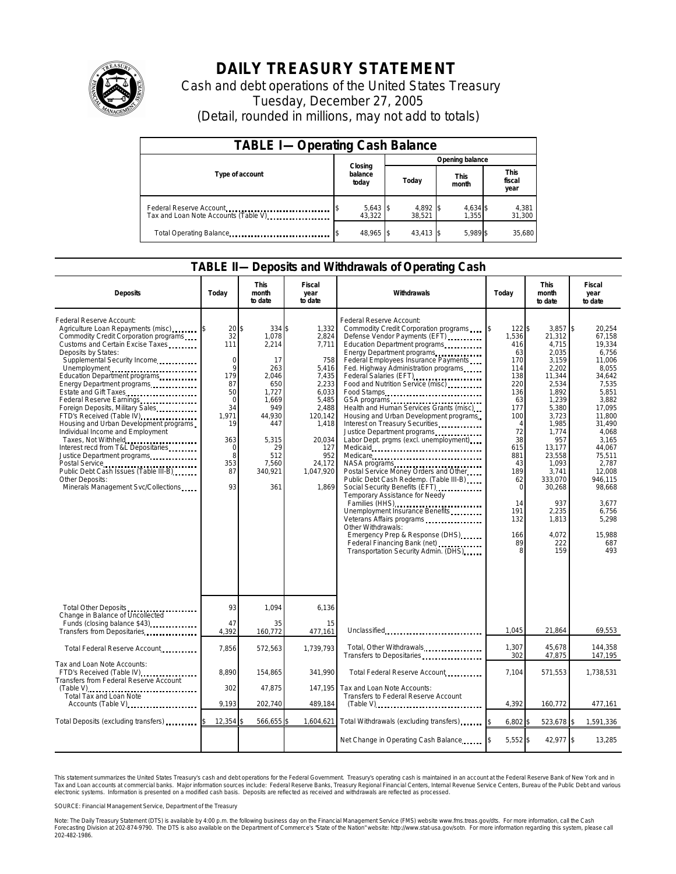

## **DAILY TREASURY STATEMENT**

Cash and debt operations of the United States Treasury Tuesday, December 27, 2005 (Detail, rounded in millions, may not add to totals)

| <b>TABLE I-Operating Cash Balance</b>                           |                             |                    |                      |                               |  |  |  |
|-----------------------------------------------------------------|-----------------------------|--------------------|----------------------|-------------------------------|--|--|--|
|                                                                 |                             | Opening balance    |                      |                               |  |  |  |
| Type of account                                                 | Closing<br>balance<br>today | Today              | <b>This</b><br>month | <b>This</b><br>fiscal<br>year |  |  |  |
| Federal Reserve Account<br>Tax and Loan Note Accounts (Table V) | $5,643$ \$<br>43.322        | 4,892 \$<br>38.521 | 4,634 \$<br>1.355    | 4,381<br>31,300               |  |  |  |
| Total Operating Balance                                         | 48.965 \$                   | 43.413 \$          | 5.989 \$             | 35.680                        |  |  |  |

## **TABLE II—Deposits and Withdrawals of Operating Cash**

| <b>Deposits</b>                                                                                                                                                                                                                                                                                                                                                                                                                                                                                                                                                                                                                                                                          | Today                                                                                                                                    | <b>This</b><br>month<br>to date                                                                                                                        | Fiscal<br>year<br>to date                                                                                                                                        | Withdrawals                                                                                                                                                                                                                                                                                                                                                                                                                                                                                                                                                                                                                                                                                                                                                                                                                                                                                                    | Today                                                                                                                                                                              | <b>This</b><br>month<br>to date                                                                                                                                                                                                                     | Fiscal<br>year<br>to date                                                                                                                                                                                                                                  |
|------------------------------------------------------------------------------------------------------------------------------------------------------------------------------------------------------------------------------------------------------------------------------------------------------------------------------------------------------------------------------------------------------------------------------------------------------------------------------------------------------------------------------------------------------------------------------------------------------------------------------------------------------------------------------------------|------------------------------------------------------------------------------------------------------------------------------------------|--------------------------------------------------------------------------------------------------------------------------------------------------------|------------------------------------------------------------------------------------------------------------------------------------------------------------------|----------------------------------------------------------------------------------------------------------------------------------------------------------------------------------------------------------------------------------------------------------------------------------------------------------------------------------------------------------------------------------------------------------------------------------------------------------------------------------------------------------------------------------------------------------------------------------------------------------------------------------------------------------------------------------------------------------------------------------------------------------------------------------------------------------------------------------------------------------------------------------------------------------------|------------------------------------------------------------------------------------------------------------------------------------------------------------------------------------|-----------------------------------------------------------------------------------------------------------------------------------------------------------------------------------------------------------------------------------------------------|------------------------------------------------------------------------------------------------------------------------------------------------------------------------------------------------------------------------------------------------------------|
| Federal Reserve Account:<br>Agriculture Loan Repayments (misc) [3<br>Commodity Credit Corporation programs<br>Customs and Certain Excise Taxes<br>Deposits by States:<br>Supplemental Security Income<br>Unemployment<br>Education Department programs<br>Energy Department programs<br>Estate and Gift Taxes<br>Federal Reserve Earnings<br>Foreign Deposits, Military Sales<br>FTD's Received (Table IV)<br>Housing and Urban Development programs<br>Individual Income and Employment<br>Taxes, Not Withheld<br>Interest recd from T&L Depositaries<br>Justice Department programs<br>Public Debt Cash Issues (Table III-B)<br>Other Deposits:<br>Minerals Management Svc/Collections | 20<br>32<br>111<br>$\mathbf 0$<br>9<br>179<br>87<br>50<br>$\mathbf 0$<br>34<br>1,971<br>19<br>363<br>$\mathbf 0$<br>8<br>353<br>87<br>93 | 334 \$<br>\$<br>1,078<br>2,214<br>17<br>263<br>2,046<br>650<br>1.727<br>1,669<br>949<br>44,930<br>447<br>5,315<br>29<br>512<br>7,560<br>340,921<br>361 | 1,332<br>2,824<br>7,711<br>758<br>5,416<br>7,435<br>2,233<br>6,033<br>5,485<br>2,488<br>120,142<br>1,418<br>20,034<br>127<br>952<br>24,172<br>1,047,920<br>1.869 | Federal Reserve Account:<br>Commodity Credit Corporation programs<br>Defense Vendor Payments (EFT)<br>Education Department programs<br>Energy Department programs<br>Federal Employees Insurance Payments<br>Fed. Highway Administration programs<br>Federal Salaries (EFT)<br>Federal Salaries (EFT)<br>Food and Nutrition Service (misc)<br>Food Stamps<br>Health and Human Services Grants (misc)<br>Housing and Urban Development programs<br>Interest on Treasury Securities<br>Justice Department programs<br>Labor Dept. prgms (excl. unemployment)<br>Medicare<br>Postal Service Money Orders and Other<br>Public Debt Cash Redemp. (Table III-B)<br>Temporary Assistance for Needy<br>Families (HHS)<br>Unemployment Insurance Benefits<br>Veterans Affairs programs<br>Other Withdrawals:<br>Emergency Prep & Response (DHS)<br>Federal Financing Bank (net)<br>Transportation Security Admin. (DHS) | I\$<br>122S<br>1,536<br>416<br>63<br>170<br>114<br>138<br>220<br>136<br>63<br>177<br>100<br>72<br>38<br>615<br>881<br>43<br>189<br>62<br>$\Omega$<br>14<br>191<br>132<br>166<br>89 | $3,857$ \$<br>21,312<br>4,715<br>2,035<br>3,159<br>2,202<br>11,344<br>2,534<br>1,892<br>1,239<br>5,380<br>3,723<br>1,985<br>1,774<br>957<br>13,177<br>23,558<br>1,093<br>3,741<br>333,070<br>30,268<br>937<br>2,235<br>1.813<br>4.072<br>222<br>159 | 20,254<br>67.158<br>19,334<br>6,756<br>11,006<br>8.055<br>34,642<br>7,535<br>5.851<br>3.882<br>17,095<br>11,800<br>31,490<br>4,068<br>3,165<br>44,067<br>75,511<br>2,787<br>12,008<br>946.115<br>98.668<br>3,677<br>6,756<br>5.298<br>15,988<br>687<br>493 |
| Total Other Deposits<br>Change in Balance of Uncollected                                                                                                                                                                                                                                                                                                                                                                                                                                                                                                                                                                                                                                 | 93                                                                                                                                       | 1.094                                                                                                                                                  | 6.136                                                                                                                                                            |                                                                                                                                                                                                                                                                                                                                                                                                                                                                                                                                                                                                                                                                                                                                                                                                                                                                                                                |                                                                                                                                                                                    |                                                                                                                                                                                                                                                     |                                                                                                                                                                                                                                                            |
| Funds (closing balance \$43)<br>Transfers from Depositaries                                                                                                                                                                                                                                                                                                                                                                                                                                                                                                                                                                                                                              | 47<br>4,392                                                                                                                              | 35<br>160,772                                                                                                                                          | 15<br>477,161                                                                                                                                                    | Unclassified                                                                                                                                                                                                                                                                                                                                                                                                                                                                                                                                                                                                                                                                                                                                                                                                                                                                                                   | 1.045                                                                                                                                                                              | 21.864                                                                                                                                                                                                                                              | 69,553                                                                                                                                                                                                                                                     |
| Total Federal Reserve Account                                                                                                                                                                                                                                                                                                                                                                                                                                                                                                                                                                                                                                                            | 7,856                                                                                                                                    | 572,563                                                                                                                                                | 1,739,793                                                                                                                                                        | Total, Other Withdrawals<br>Transfers to Depositaries                                                                                                                                                                                                                                                                                                                                                                                                                                                                                                                                                                                                                                                                                                                                                                                                                                                          | 1,307<br>302                                                                                                                                                                       | 45,678<br>47,875                                                                                                                                                                                                                                    | 144,358<br>147,195                                                                                                                                                                                                                                         |
| Tax and Loan Note Accounts:<br>FTD's Received (Table IV)<br>Transfers from Federal Reserve Account                                                                                                                                                                                                                                                                                                                                                                                                                                                                                                                                                                                       | 8.890                                                                                                                                    | 154,865                                                                                                                                                | 341.990                                                                                                                                                          | Total Federal Reserve Account                                                                                                                                                                                                                                                                                                                                                                                                                                                                                                                                                                                                                                                                                                                                                                                                                                                                                  | 7.104                                                                                                                                                                              | 571,553                                                                                                                                                                                                                                             | 1,738,531                                                                                                                                                                                                                                                  |
| Total Tax and Loan Note<br>Accounts (Table V)                                                                                                                                                                                                                                                                                                                                                                                                                                                                                                                                                                                                                                            | 302<br>9.193                                                                                                                             | 47,875<br>202,740                                                                                                                                      | 147,195<br>489,184                                                                                                                                               | Tax and Loan Note Accounts:<br>Transfers to Federal Reserve Account<br>$(Table V)$                                                                                                                                                                                                                                                                                                                                                                                                                                                                                                                                                                                                                                                                                                                                                                                                                             | 4.392                                                                                                                                                                              | 160,772                                                                                                                                                                                                                                             | 477,161                                                                                                                                                                                                                                                    |
| Total Deposits (excluding transfers)                                                                                                                                                                                                                                                                                                                                                                                                                                                                                                                                                                                                                                                     | 12,354                                                                                                                                   | 566,655                                                                                                                                                | 1,604,621                                                                                                                                                        | Total Withdrawals (excluding transfers)                                                                                                                                                                                                                                                                                                                                                                                                                                                                                                                                                                                                                                                                                                                                                                                                                                                                        | 6,802<br>\$                                                                                                                                                                        | 523,678 \$                                                                                                                                                                                                                                          | 1,591,336                                                                                                                                                                                                                                                  |
|                                                                                                                                                                                                                                                                                                                                                                                                                                                                                                                                                                                                                                                                                          |                                                                                                                                          |                                                                                                                                                        |                                                                                                                                                                  | Net Change in Operating Cash Balance                                                                                                                                                                                                                                                                                                                                                                                                                                                                                                                                                                                                                                                                                                                                                                                                                                                                           | 5,552\$                                                                                                                                                                            | 42,977 \$                                                                                                                                                                                                                                           | 13,285                                                                                                                                                                                                                                                     |
|                                                                                                                                                                                                                                                                                                                                                                                                                                                                                                                                                                                                                                                                                          |                                                                                                                                          |                                                                                                                                                        |                                                                                                                                                                  |                                                                                                                                                                                                                                                                                                                                                                                                                                                                                                                                                                                                                                                                                                                                                                                                                                                                                                                |                                                                                                                                                                                    |                                                                                                                                                                                                                                                     |                                                                                                                                                                                                                                                            |

This statement summarizes the United States Treasury's cash and debt operations for the Federal Government. Treasury's operating cash is maintained in an account at the Federal Reserve Bank of New York and in<br>Tax and Loan narizes the United States Treasury's cash and debt operations for the Federal Government. Treasury's operating cash is maintained in an account at the Federal Reserve Bank of New York and in<br>ints at commercial banks. Major

SOURCE: Financial Management Service, Department of the Treasury

Note: The Daily Treasury Statement (DTS) is available by 4:00 p.m. the following business day on the Financial Management Service (FMS) website www.fms.treas.gov/dts. For more information, call the Cash<br>Forecasting Divisio 202-482-1986.